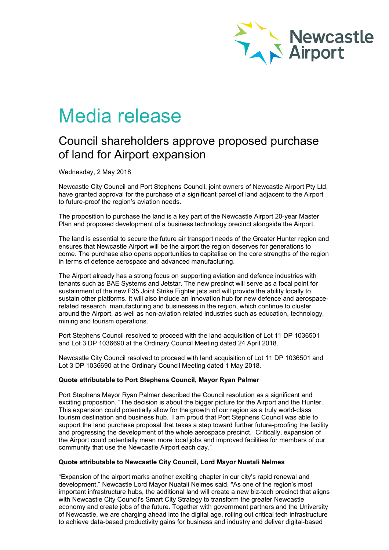

# Media release

## Council shareholders approve proposed purchase of land for Airport expansion

Wednesday, 2 May 2018

Newcastle City Council and Port Stephens Council, joint owners of Newcastle Airport Pty Ltd, have granted approval for the purchase of a significant parcel of land adjacent to the Airport to future-proof the region's aviation needs.

The proposition to purchase the land is a key part of the Newcastle Airport 20-year Master Plan and proposed development of a business technology precinct alongside the Airport.

The land is essential to secure the future air transport needs of the Greater Hunter region and ensures that Newcastle Airport will be the airport the region deserves for generations to come. The purchase also opens opportunities to capitalise on the core strengths of the region in terms of defence aerospace and advanced manufacturing.

The Airport already has a strong focus on supporting aviation and defence industries with tenants such as BAE Systems and Jetstar. The new precinct will serve as a focal point for sustainment of the new F35 Joint Strike Fighter jets and will provide the ability locally to sustain other platforms. It will also include an innovation hub for new defence and aerospacerelated research, manufacturing and businesses in the region, which continue to cluster around the Airport, as well as non-aviation related industries such as education, technology, mining and tourism operations.

Port Stephens Council resolved to proceed with the land acquisition of Lot 11 DP 1036501 and Lot 3 DP 1036690 at the Ordinary Council Meeting dated 24 April 2018.

Newcastle City Council resolved to proceed with land acquisition of Lot 11 DP 1036501 and Lot 3 DP 1036690 at the Ordinary Council Meeting dated 1 May 2018.

### **Quote attributable to Port Stephens Council, Mayor Ryan Palmer**

Port Stephens Mayor Ryan Palmer described the Council resolution as a significant and exciting proposition. "The decision is about the bigger picture for the Airport and the Hunter. This expansion could potentially allow for the growth of our region as a truly world-class tourism destination and business hub. I am proud that Port Stephens Council was able to support the land purchase proposal that takes a step toward further future-proofing the facility and progressing the development of the whole aerospace precinct. Critically, expansion of the Airport could potentially mean more local jobs and improved facilities for members of our community that use the Newcastle Airport each day."

### **Quote attributable to Newcastle City Council, Lord Mayor Nuatali Nelmes**

"Expansion of the airport marks another exciting chapter in our city's rapid renewal and development," Newcastle Lord Mayor Nuatali Nelmes said. "As one of the region's most important infrastructure hubs, the additional land will create a new biz-tech precinct that aligns with Newcastle City Council's Smart City Strategy to transform the greater Newcastle economy and create jobs of the future. Together with government partners and the University of Newcastle, we are charging ahead into the digital age, rolling out critical tech infrastructure to achieve data-based productivity gains for business and industry and deliver digital-based